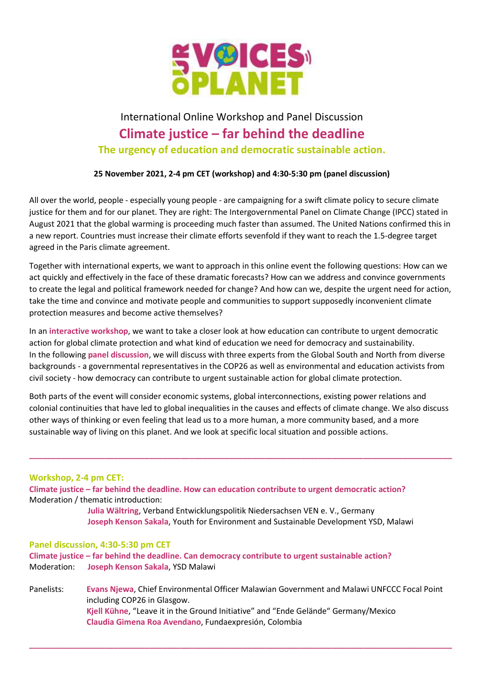

## International Online Workshop and Panel Discussion Climate justice – far behind the deadline The urgency of education and democratic sustainable action.

25 November 2021, 2-4 pm CET (workshop) and 4:30-5:30 pm (panel discussion)

All over the world, people - especially young people - are campaigning for a swift climate policy to secure climate justice for them and for our planet. They are right: The Intergovernmental Panel on Climate Change (IPCC) stated in August 2021 that the global warming is proceeding much faster than assumed. The United Nations confirmed this in a new report. Countries must increase their climate efforts sevenfold if they want to reach the 1.5-degree target agreed in the Paris climate agreement.

Together with international experts, we want to approach in this online event the following questions: How can we act quickly and effectively in the face of these dramatic forecasts? How can we address and convince governments to create the legal and political framework needed for change? And how can we, despite the urgent need for action, take the time and convince and motivate people and communities to support supposedly inconvenient climate protection measures and become active themselves?

In an interactive workshop, we want to take a closer look at how education can contribute to urgent democratic action for global climate protection and what kind of education we need for democracy and sustainability. In the following panel discussion, we will discuss with three experts from the Global South and North from diverse backgrounds - a governmental representatives in the COP26 as well as environmental and education activists from civil society - how democracy can contribute to urgent sustainable action for global climate protection.

Both parts of the event will consider economic systems, global interconnections, existing power relations and colonial continuities that have led to global inequalities in the causes and effects of climate change. We also discuss other ways of thinking or even feeling that lead us to a more human, a more community based, and a more sustainable way of living on this planet. And we look at specific local situation and possible actions.

\_\_\_\_\_\_\_\_\_\_\_\_\_\_\_\_\_\_\_\_\_\_\_\_\_\_\_\_\_\_\_\_\_\_\_\_\_\_\_\_\_\_\_\_\_\_\_\_\_\_\_\_\_\_\_\_\_\_\_\_\_\_\_\_\_\_\_\_\_\_\_\_\_\_\_\_\_\_\_\_\_\_\_\_\_\_\_\_\_\_\_\_\_\_\_

## Workshop, 2-4 pm CET:

Climate justice – far behind the deadline. How can education contribute to urgent democratic action? Moderation / thematic introduction:

> Julia Wältring, Verband Entwicklungspolitik Niedersachsen VEN e. V., Germany Joseph Kenson Sakala, Youth for Environment and Sustainable Development YSD, Malawi

## Panel discussion, 4:30-5:30 pm CET

Climate justice – far behind the deadline. Can democracy contribute to urgent sustainable action? Moderation: Joseph Kenson Sakala, YSD Malawi

Panelists: Evans Njewa, Chief Environmental Officer Malawian Government and Malawi UNFCCC Focal Point including COP26 in Glasgow. Kjell Kühne, "Leave it in the Ground Initiative" and "Ende Gelände" Germany/Mexico Claudia Gimena Roa Avendano, Fundaexpresión, Colombia

\_\_\_\_\_\_\_\_\_\_\_\_\_\_\_\_\_\_\_\_\_\_\_\_\_\_\_\_\_\_\_\_\_\_\_\_\_\_\_\_\_\_\_\_\_\_\_\_\_\_\_\_\_\_\_\_\_\_\_\_\_\_\_\_\_\_\_\_\_\_\_\_\_\_\_\_\_\_\_\_\_\_\_\_\_\_\_\_\_\_\_\_\_\_\_